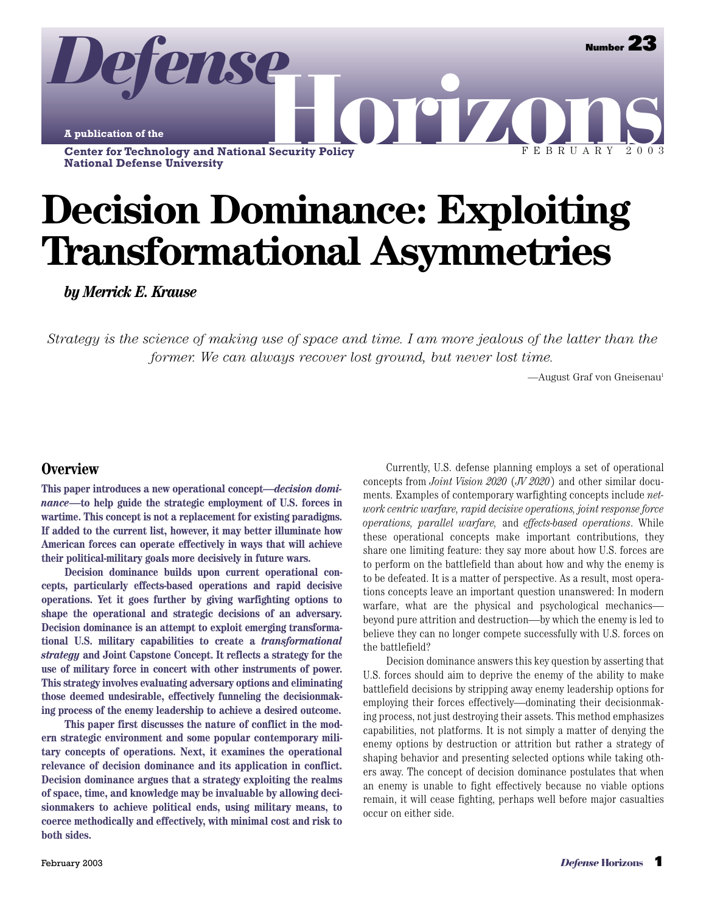**A publication of the**

*Defense*

**Center for Technology and National Security Policy National Defense University**

# **Decision Dominance: Exploiting Transformational Asymmetries**

**OFIZO** 

*by Merrick E. Krause*

*Strategy is the science of making use of space and time. I am more jealous of the latter than the former. We can always recover lost ground, but never lost time.*

—August Graf von Gneisenau<sup>1</sup>

FEBRUARY 2003

**Number 23**

## **Overview**

**This paper introduces a new operational concept—***decision dominance***—to help guide the strategic employment of U.S. forces in wartime. This concept is not a replacement for existing paradigms. If added to the current list, however, it may better illuminate how American forces can operate effectively in ways that will achieve their political-military goals more decisively in future wars.**

**Decision dominance builds upon current operational concepts, particularly effects-based operations and rapid decisive operations. Yet it goes further by giving warfighting options to shape the operational and strategic decisions of an adversary. Decision dominance is an attempt to exploit emerging transformational U.S. military capabilities to create a** *transformational strategy* **and Joint Capstone Concept. It reflects a strategy for the use of military force in concert with other instruments of power. This strategy involves evaluating adversary options and eliminating those deemed undesirable, effectively funneling the decisionmaking process of the enemy leadership to achieve a desired outcome.**

**This paper first discusses the nature of conflict in the modern strategic environment and some popular contemporary military concepts of operations. Next, it examines the operational relevance of decision dominance and its application in conflict. Decision dominance argues that a strategy exploiting the realms of space, time, and knowledge may be invaluable by allowing decisionmakers to achieve political ends, using military means, to coerce methodically and effectively, with minimal cost and risk to both sides.**

Currently, U.S. defense planning employs a set of operational concepts from *Joint Vision 2020* (*JV 2020*) and other similar documents. Examples of contemporary warfighting concepts include *network centric warfare, rapid decisive operations, joint response force operations, parallel warfare,* and *effects-based operations*. While these operational concepts make important contributions, they share one limiting feature: they say more about how U.S. forces are to perform on the battlefield than about how and why the enemy is to be defeated. It is a matter of perspective. As a result, most operations concepts leave an important question unanswered: In modern warfare, what are the physical and psychological mechanics beyond pure attrition and destruction—by which the enemy is led to believe they can no longer compete successfully with U.S. forces on the battlefield?

Decision dominance answers this key question by asserting that U.S. forces should aim to deprive the enemy of the ability to make battlefield decisions by stripping away enemy leadership options for employing their forces effectively—dominating their decisionmaking process, not just destroying their assets. This method emphasizes capabilities, not platforms. It is not simply a matter of denying the enemy options by destruction or attrition but rather a strategy of shaping behavior and presenting selected options while taking others away. The concept of decision dominance postulates that when an enemy is unable to fight effectively because no viable options remain, it will cease fighting, perhaps well before major casualties occur on either side.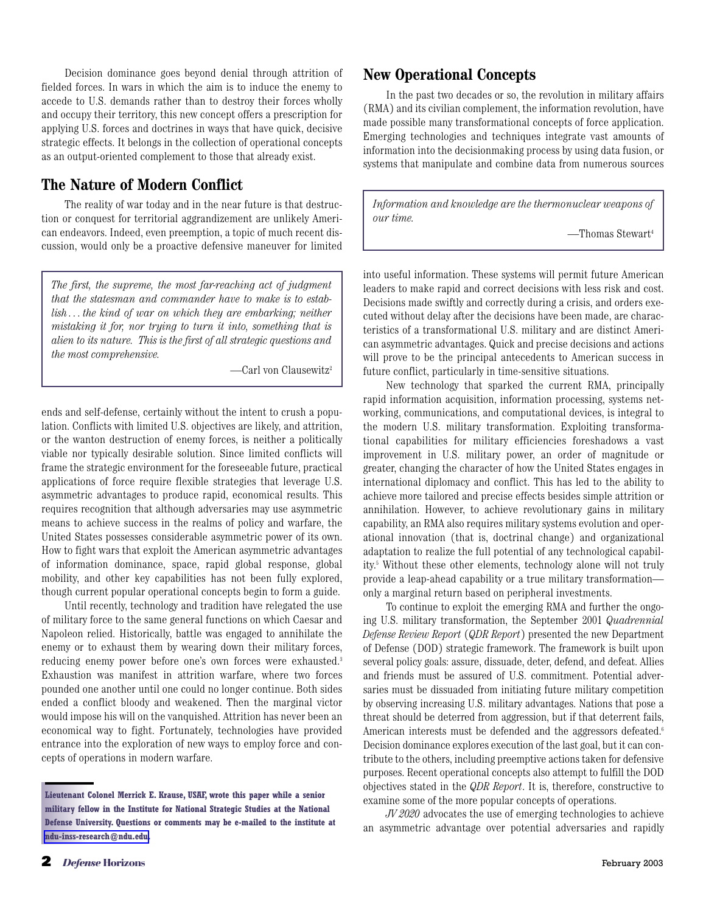Decision dominance goes beyond denial through attrition of fielded forces. In wars in which the aim is to induce the enemy to accede to U.S. demands rather than to destroy their forces wholly and occupy their territory, this new concept offers a prescription for applying U.S. forces and doctrines in ways that have quick, decisive strategic effects. It belongs in the collection of operational concepts as an output-oriented complement to those that already exist.

## **The Nature of Modern Conflict**

The reality of war today and in the near future is that destruction or conquest for territorial aggrandizement are unlikely American endeavors. Indeed, even preemption, a topic of much recent discussion, would only be a proactive defensive maneuver for limited

*The first, the supreme, the most far-reaching act of judgment that the statesman and commander have to make is to establish . . . the kind of war on which they are embarking; neither mistaking it for, nor trying to turn it into, something that is alien to its nature. This is the first of all strategic questions and the most comprehensive.*

—Carl von Clausewitz2

ends and self-defense, certainly without the intent to crush a population. Conflicts with limited U.S. objectives are likely, and attrition, or the wanton destruction of enemy forces, is neither a politically viable nor typically desirable solution. Since limited conflicts will frame the strategic environment for the foreseeable future, practical applications of force require flexible strategies that leverage U.S. asymmetric advantages to produce rapid, economical results. This requires recognition that although adversaries may use asymmetric means to achieve success in the realms of policy and warfare, the United States possesses considerable asymmetric power of its own. How to fight wars that exploit the American asymmetric advantages of information dominance, space, rapid global response, global mobility, and other key capabilities has not been fully explored, though current popular operational concepts begin to form a guide.

Until recently, technology and tradition have relegated the use of military force to the same general functions on which Caesar and Napoleon relied. Historically, battle was engaged to annihilate the enemy or to exhaust them by wearing down their military forces, reducing enemy power before one's own forces were exhausted.<sup>3</sup> Exhaustion was manifest in attrition warfare, where two forces pounded one another until one could no longer continue. Both sides ended a conflict bloody and weakened. Then the marginal victor would impose his will on the vanquished. Attrition has never been an economical way to fight. Fortunately, technologies have provided entrance into the exploration of new ways to employ force and concepts of operations in modern warfare.

## **New Operational Concepts**

In the past two decades or so, the revolution in military affairs (RMA) and its civilian complement, the information revolution, have made possible many transformational concepts of force application. Emerging technologies and techniques integrate vast amounts of information into the decisionmaking process by using data fusion, or systems that manipulate and combine data from numerous sources

*Information and knowledge are the thermonuclear weapons of our time.*

—Thomas Stewart4

into useful information. These systems will permit future American leaders to make rapid and correct decisions with less risk and cost. Decisions made swiftly and correctly during a crisis, and orders executed without delay after the decisions have been made, are characteristics of a transformational U.S. military and are distinct American asymmetric advantages. Quick and precise decisions and actions will prove to be the principal antecedents to American success in future conflict, particularly in time-sensitive situations.

New technology that sparked the current RMA, principally rapid information acquisition, information processing, systems networking, communications, and computational devices, is integral to the modern U.S. military transformation. Exploiting transformational capabilities for military efficiencies foreshadows a vast improvement in U.S. military power, an order of magnitude or greater, changing the character of how the United States engages in international diplomacy and conflict. This has led to the ability to achieve more tailored and precise effects besides simple attrition or annihilation. However, to achieve revolutionary gains in military capability, an RMA also requires military systems evolution and operational innovation (that is, doctrinal change) and organizational adaptation to realize the full potential of any technological capability.5 Without these other elements, technology alone will not truly provide a leap-ahead capability or a true military transformation only a marginal return based on peripheral investments.

To continue to exploit the emerging RMA and further the ongoing U.S. military transformation, the September 2001 *Quadrennial Defense Review Report* (*QDR Report*) presented the new Department of Defense (DOD) strategic framework. The framework is built upon several policy goals: assure, dissuade, deter, defend, and defeat. Allies and friends must be assured of U.S. commitment. Potential adversaries must be dissuaded from initiating future military competition by observing increasing U.S. military advantages. Nations that pose a threat should be deterred from aggression, but if that deterrent fails, American interests must be defended and the aggressors defeated.<sup>6</sup> Decision dominance explores execution of the last goal, but it can contribute to the others, including preemptive actions taken for defensive purposes. Recent operational concepts also attempt to fulfill the DOD objectives stated in the *QDR Report*. It is, therefore, constructive to examine some of the more popular concepts of operations.

*JV 2020* advocates the use of emerging technologies to achieve an asymmetric advantage over potential adversaries and rapidly

**Lieutenant Colonel Merrick E. Krause, USAF, wrote this paper while a senior military fellow in the Institute for National Strategic Studies at the National Defense University. Questions or comments may be e-mailed to the institute at [ndu-inss-research@ndu.edu.](mailto:ndu-inss-research@ndu.edu)**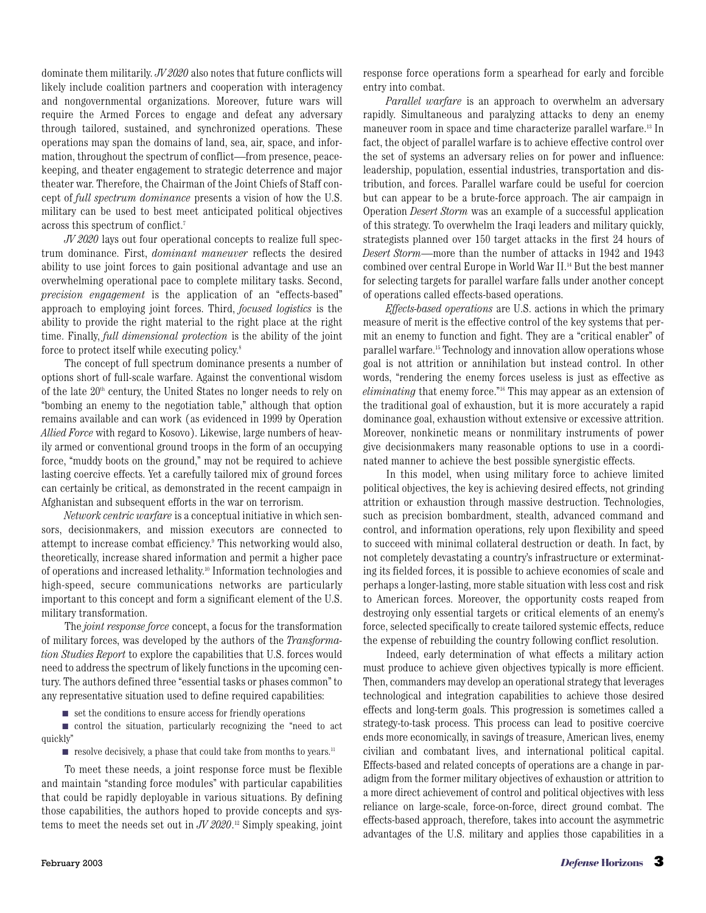dominate them militarily. *JV 2020* also notes that future conflicts will likely include coalition partners and cooperation with interagency and nongovernmental organizations. Moreover, future wars will require the Armed Forces to engage and defeat any adversary through tailored, sustained, and synchronized operations. These operations may span the domains of land, sea, air, space, and information, throughout the spectrum of conflict—from presence, peacekeeping, and theater engagement to strategic deterrence and major theater war. Therefore, the Chairman of the Joint Chiefs of Staff concept of *full spectrum dominance* presents a vision of how the U.S. military can be used to best meet anticipated political objectives across this spectrum of conflict.7

*JV 2020* lays out four operational concepts to realize full spectrum dominance. First, *dominant maneuver* reflects the desired ability to use joint forces to gain positional advantage and use an overwhelming operational pace to complete military tasks. Second, *precision engagement* is the application of an "effects-based" approach to employing joint forces. Third, *focused logistics* is the ability to provide the right material to the right place at the right time. Finally, *full dimensional protection* is the ability of the joint force to protect itself while executing policy.<sup>8</sup>

The concept of full spectrum dominance presents a number of options short of full-scale warfare. Against the conventional wisdom of the late  $20<sup>th</sup>$  century, the United States no longer needs to rely on "bombing an enemy to the negotiation table," although that option remains available and can work (as evidenced in 1999 by Operation *Allied Force* with regard to Kosovo). Likewise, large numbers of heavily armed or conventional ground troops in the form of an occupying force, "muddy boots on the ground," may not be required to achieve lasting coercive effects. Yet a carefully tailored mix of ground forces can certainly be critical, as demonstrated in the recent campaign in Afghanistan and subsequent efforts in the war on terrorism.

*Network centric warfare*is a conceptual initiative in which sensors, decisionmakers, and mission executors are connected to attempt to increase combat efficiency.9 This networking would also, theoretically, increase shared information and permit a higher pace of operations and increased lethality.10 Information technologies and high-speed, secure communications networks are particularly important to this concept and form a significant element of the U.S. military transformation.

The *joint response force* concept, a focus for the transformation of military forces, was developed by the authors of the *Transformation Studies Report* to explore the capabilities that U.S. forces would need to address the spectrum of likely functions in the upcoming century. The authors defined three "essential tasks or phases common" to any representative situation used to define required capabilities:

■ set the conditions to ensure access for friendly operations

■ control the situation, particularly recognizing the "need to act quickly"

 $\blacksquare$  resolve decisively, a phase that could take from months to years.<sup>11</sup>

To meet these needs, a joint response force must be flexible and maintain "standing force modules" with particular capabilities that could be rapidly deployable in various situations. By defining those capabilities, the authors hoped to provide concepts and systems to meet the needs set out in *JV 2020*. <sup>12</sup> Simply speaking, joint

response force operations form a spearhead for early and forcible entry into combat.

*Parallel warfare* is an approach to overwhelm an adversary rapidly. Simultaneous and paralyzing attacks to deny an enemy maneuver room in space and time characterize parallel warfare.13 In fact, the object of parallel warfare is to achieve effective control over the set of systems an adversary relies on for power and influence: leadership, population, essential industries, transportation and distribution, and forces. Parallel warfare could be useful for coercion but can appear to be a brute-force approach. The air campaign in Operation *Desert Storm* was an example of a successful application of this strategy. To overwhelm the Iraqi leaders and military quickly, strategists planned over 150 target attacks in the first 24 hours of *Desert Storm*—more than the number of attacks in 1942 and 1943 combined over central Europe in World War II.14 But the best manner for selecting targets for parallel warfare falls under another concept of operations called effects-based operations.

*Effects-based operations* are U.S. actions in which the primary measure of merit is the effective control of the key systems that permit an enemy to function and fight. They are a "critical enabler" of parallel warfare.15 Technology and innovation allow operations whose goal is not attrition or annihilation but instead control. In other words, "rendering the enemy forces useless is just as effective as *eliminating* that enemy force." <sup>16</sup> This may appear as an extension of the traditional goal of exhaustion, but it is more accurately a rapid dominance goal, exhaustion without extensive or excessive attrition. Moreover, nonkinetic means or nonmilitary instruments of power give decisionmakers many reasonable options to use in a coordinated manner to achieve the best possible synergistic effects.

In this model, when using military force to achieve limited political objectives, the key is achieving desired effects, not grinding attrition or exhaustion through massive destruction. Technologies, such as precision bombardment, stealth, advanced command and control, and information operations, rely upon flexibility and speed to succeed with minimal collateral destruction or death. In fact, by not completely devastating a country's infrastructure or exterminating its fielded forces, it is possible to achieve economies of scale and perhaps a longer-lasting, more stable situation with less cost and risk to American forces. Moreover, the opportunity costs reaped from destroying only essential targets or critical elements of an enemy's force, selected specifically to create tailored systemic effects, reduce the expense of rebuilding the country following conflict resolution.

Indeed, early determination of what effects a military action must produce to achieve given objectives typically is more efficient. Then, commanders may develop an operational strategy that leverages technological and integration capabilities to achieve those desired effects and long-term goals. This progression is sometimes called a strategy-to-task process. This process can lead to positive coercive ends more economically, in savings of treasure, American lives, enemy civilian and combatant lives, and international political capital. Effects-based and related concepts of operations are a change in paradigm from the former military objectives of exhaustion or attrition to a more direct achievement of control and political objectives with less reliance on large-scale, force-on-force, direct ground combat. The effects-based approach, therefore, takes into account the asymmetric advantages of the U.S. military and applies those capabilities in a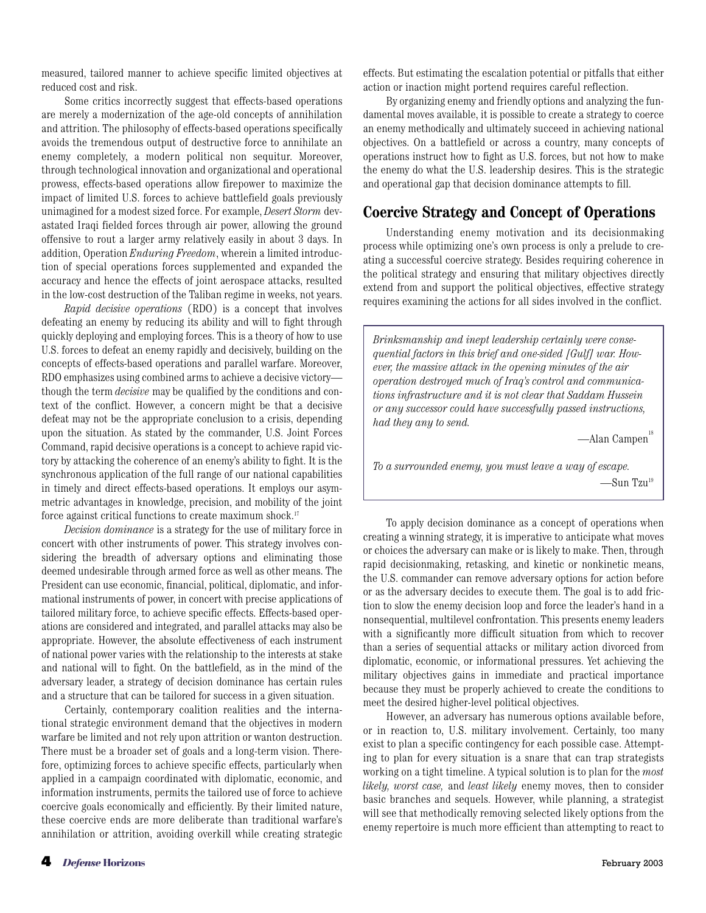measured, tailored manner to achieve specific limited objectives at reduced cost and risk.

Some critics incorrectly suggest that effects-based operations are merely a modernization of the age-old concepts of annihilation and attrition. The philosophy of effects-based operations specifically avoids the tremendous output of destructive force to annihilate an enemy completely, a modern political non sequitur. Moreover, through technological innovation and organizational and operational prowess, effects-based operations allow firepower to maximize the impact of limited U.S. forces to achieve battlefield goals previously unimagined for a modest sized force. For example, *Desert Storm* devastated Iraqi fielded forces through air power, allowing the ground offensive to rout a larger army relatively easily in about 3 days. In addition, Operation *Enduring Freedom*, wherein a limited introduction of special operations forces supplemented and expanded the accuracy and hence the effects of joint aerospace attacks, resulted in the low-cost destruction of the Taliban regime in weeks, not years.

*Rapid decisive operations* (RDO) is a concept that involves defeating an enemy by reducing its ability and will to fight through quickly deploying and employing forces. This is a theory of how to use U.S. forces to defeat an enemy rapidly and decisively, building on the concepts of effects-based operations and parallel warfare. Moreover, RDO emphasizes using combined arms to achieve a decisive victory though the term *decisive* may be qualified by the conditions and context of the conflict. However, a concern might be that a decisive defeat may not be the appropriate conclusion to a crisis, depending upon the situation. As stated by the commander, U.S. Joint Forces Command, rapid decisive operations is a concept to achieve rapid victory by attacking the coherence of an enemy's ability to fight. It is the synchronous application of the full range of our national capabilities in timely and direct effects-based operations. It employs our asymmetric advantages in knowledge, precision, and mobility of the joint force against critical functions to create maximum shock.<sup>17</sup>

*Decision dominance* is a strategy for the use of military force in concert with other instruments of power. This strategy involves considering the breadth of adversary options and eliminating those deemed undesirable through armed force as well as other means. The President can use economic, financial, political, diplomatic, and informational instruments of power, in concert with precise applications of tailored military force, to achieve specific effects. Effects-based operations are considered and integrated, and parallel attacks may also be appropriate. However, the absolute effectiveness of each instrument of national power varies with the relationship to the interests at stake and national will to fight. On the battlefield, as in the mind of the adversary leader, a strategy of decision dominance has certain rules and a structure that can be tailored for success in a given situation.

Certainly, contemporary coalition realities and the international strategic environment demand that the objectives in modern warfare be limited and not rely upon attrition or wanton destruction. There must be a broader set of goals and a long-term vision. Therefore, optimizing forces to achieve specific effects, particularly when applied in a campaign coordinated with diplomatic, economic, and information instruments, permits the tailored use of force to achieve coercive goals economically and efficiently. By their limited nature, these coercive ends are more deliberate than traditional warfare's annihilation or attrition, avoiding overkill while creating strategic effects. But estimating the escalation potential or pitfalls that either action or inaction might portend requires careful reflection.

By organizing enemy and friendly options and analyzing the fundamental moves available, it is possible to create a strategy to coerce an enemy methodically and ultimately succeed in achieving national objectives. On a battlefield or across a country, many concepts of operations instruct how to fight as U.S. forces, but not how to make the enemy do what the U.S. leadership desires. This is the strategic and operational gap that decision dominance attempts to fill.

## **Coercive Strategy and Concept of Operations**

Understanding enemy motivation and its decisionmaking process while optimizing one's own process is only a prelude to creating a successful coercive strategy. Besides requiring coherence in the political strategy and ensuring that military objectives directly extend from and support the political objectives, effective strategy requires examining the actions for all sides involved in the conflict.

*Brinksmanship and inept leadership certainly were consequential factors in this brief and one-sided [Gulf] war. However, the massive attack in the opening minutes of the air operation destroyed much of Iraq's control and communications infrastructure and it is not clear that Saddam Hussein or any successor could have successfully passed instructions, had they any to send.*

 $-\lambda$ lan Campen $18$ 

*To a surrounded enemy, you must leave a way of escape.* —Sun Tzu19

To apply decision dominance as a concept of operations when creating a winning strategy, it is imperative to anticipate what moves or choices the adversary can make or is likely to make. Then, through rapid decisionmaking, retasking, and kinetic or nonkinetic means, the U.S. commander can remove adversary options for action before or as the adversary decides to execute them. The goal is to add friction to slow the enemy decision loop and force the leader's hand in a nonsequential, multilevel confrontation. This presents enemy leaders with a significantly more difficult situation from which to recover than a series of sequential attacks or military action divorced from diplomatic, economic, or informational pressures. Yet achieving the military objectives gains in immediate and practical importance because they must be properly achieved to create the conditions to meet the desired higher-level political objectives.

However, an adversary has numerous options available before, or in reaction to, U.S. military involvement. Certainly, too many exist to plan a specific contingency for each possible case. Attempting to plan for every situation is a snare that can trap strategists working on a tight timeline. A typical solution is to plan for the *most likely, worst case,* and *least likely* enemy moves, then to consider basic branches and sequels. However, while planning, a strategist will see that methodically removing selected likely options from the enemy repertoire is much more efficient than attempting to react to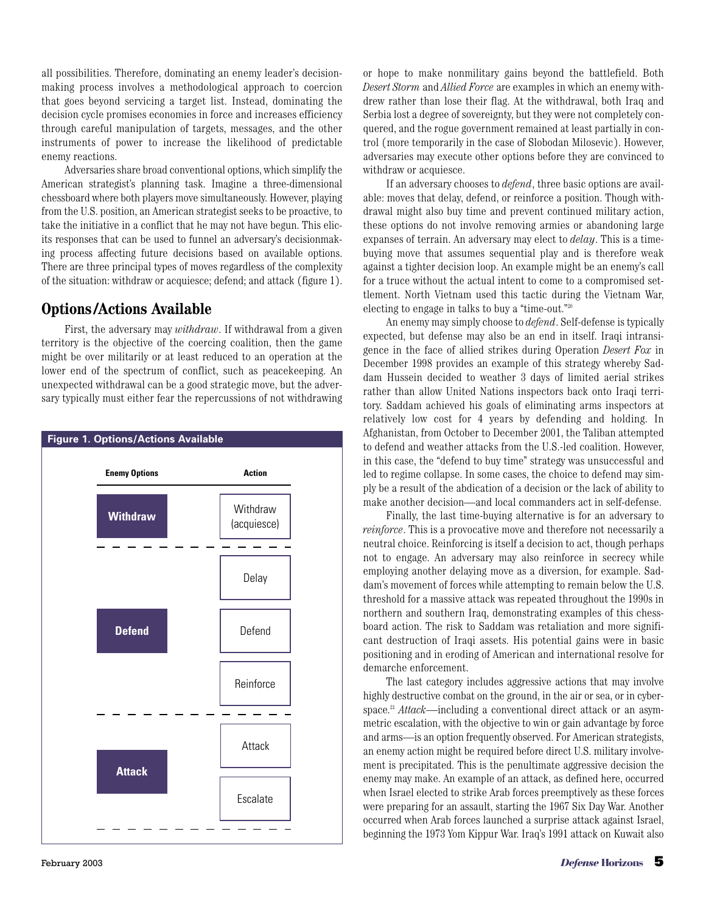all possibilities. Therefore, dominating an enemy leader's decisionmaking process involves a methodological approach to coercion that goes beyond servicing a target list. Instead, dominating the decision cycle promises economies in force and increases efficiency through careful manipulation of targets, messages, and the other instruments of power to increase the likelihood of predictable enemy reactions.

Adversaries share broad conventional options, which simplify the American strategist's planning task. Imagine a three-dimensional chessboard where both players move simultaneously. However, playing from the U.S. position, an American strategist seeks to be proactive, to take the initiative in a conflict that he may not have begun. This elicits responses that can be used to funnel an adversary's decisionmaking process affecting future decisions based on available options. There are three principal types of moves regardless of the complexity of the situation: withdraw or acquiesce; defend; and attack (figure 1).

## **Options /Actions Available**

First, the adversary may *withdraw*. If withdrawal from a given territory is the objective of the coercing coalition, then the game might be over militarily or at least reduced to an operation at the lower end of the spectrum of conflict, such as peacekeeping. An unexpected withdrawal can be a good strategic move, but the adversary typically must either fear the repercussions of not withdrawing



or hope to make nonmilitary gains beyond the battlefield. Both *Desert Storm* and *Allied Force* are examples in which an enemy withdrew rather than lose their flag. At the withdrawal, both Iraq and Serbia lost a degree of sovereignty, but they were not completely conquered, and the rogue government remained at least partially in control (more temporarily in the case of Slobodan Milosevic). However, adversaries may execute other options before they are convinced to withdraw or acquiesce.

If an adversary chooses to *defend*, three basic options are available: moves that delay, defend, or reinforce a position. Though withdrawal might also buy time and prevent continued military action, these options do not involve removing armies or abandoning large expanses of terrain. An adversary may elect to *delay*. This is a timebuying move that assumes sequential play and is therefore weak against a tighter decision loop. An example might be an enemy's call for a truce without the actual intent to come to a compromised settlement. North Vietnam used this tactic during the Vietnam War, electing to engage in talks to buy a "time-out." 20

An enemy may simply choose to *defend*. Self-defense is typically expected, but defense may also be an end in itself. Iraqi intransigence in the face of allied strikes during Operation *Desert Fox* in December 1998 provides an example of this strategy whereby Saddam Hussein decided to weather 3 days of limited aerial strikes rather than allow United Nations inspectors back onto Iraqi territory. Saddam achieved his goals of eliminating arms inspectors at relatively low cost for 4 years by defending and holding. In Afghanistan, from October to December 2001, the Taliban attempted to defend and weather attacks from the U.S.-led coalition. However, in this case, the "defend to buy time" strategy was unsuccessful and led to regime collapse. In some cases, the choice to defend may simply be a result of the abdication of a decision or the lack of ability to make another decision—and local commanders act in self-defense.

Finally, the last time-buying alternative is for an adversary to *reinforce*. This is a provocative move and therefore not necessarily a neutral choice. Reinforcing is itself a decision to act, though perhaps not to engage. An adversary may also reinforce in secrecy while employing another delaying move as a diversion, for example. Saddam's movement of forces while attempting to remain below the U.S. threshold for a massive attack was repeated throughout the 1990s in northern and southern Iraq, demonstrating examples of this chessboard action. The risk to Saddam was retaliation and more significant destruction of Iraqi assets. His potential gains were in basic positioning and in eroding of American and international resolve for demarche enforcement.

The last category includes aggressive actions that may involve highly destructive combat on the ground, in the air or sea, or in cyberspace.21 *Attack*—including a conventional direct attack or an asymmetric escalation, with the objective to win or gain advantage by force and arms—is an option frequently observed. For American strategists, an enemy action might be required before direct U.S. military involvement is precipitated. This is the penultimate aggressive decision the enemy may make. An example of an attack, as defined here, occurred when Israel elected to strike Arab forces preemptively as these forces were preparing for an assault, starting the 1967 Six Day War. Another occurred when Arab forces launched a surprise attack against Israel, beginning the 1973 Yom Kippur War. Iraq's 1991 attack on Kuwait also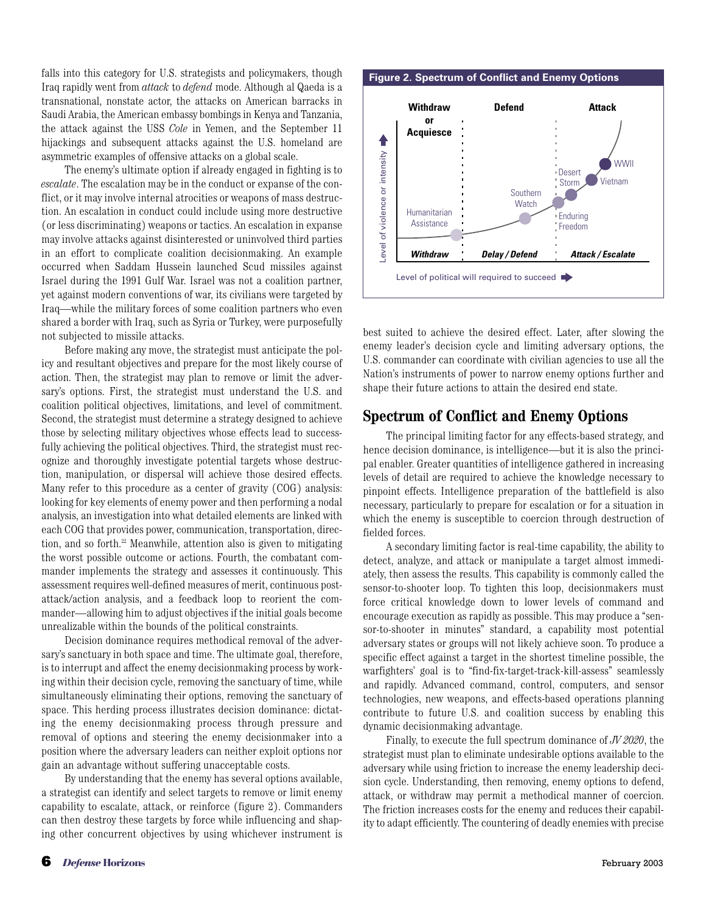falls into this category for U.S. strategists and policymakers, though Iraq rapidly went from *attack* to *defend* mode. Although al Qaeda is a transnational, nonstate actor, the attacks on American barracks in Saudi Arabia, the American embassy bombings in Kenya and Tanzania, the attack against the USS *Cole* in Yemen, and the September 11 hijackings and subsequent attacks against the U.S. homeland are asymmetric examples of offensive attacks on a global scale.

The enemy's ultimate option if already engaged in fighting is to *escalate*. The escalation may be in the conduct or expanse of the conflict, or it may involve internal atrocities or weapons of mass destruction. An escalation in conduct could include using more destructive (or less discriminating) weapons or tactics. An escalation in expanse may involve attacks against disinterested or uninvolved third parties in an effort to complicate coalition decisionmaking. An example occurred when Saddam Hussein launched Scud missiles against Israel during the 1991 Gulf War. Israel was not a coalition partner, yet against modern conventions of war, its civilians were targeted by Iraq—while the military forces of some coalition partners who even shared a border with Iraq, such as Syria or Turkey, were purposefully not subjected to missile attacks.

Before making any move, the strategist must anticipate the policy and resultant objectives and prepare for the most likely course of action. Then, the strategist may plan to remove or limit the adversary's options. First, the strategist must understand the U.S. and coalition political objectives, limitations, and level of commitment. Second, the strategist must determine a strategy designed to achieve those by selecting military objectives whose effects lead to successfully achieving the political objectives. Third, the strategist must recognize and thoroughly investigate potential targets whose destruction, manipulation, or dispersal will achieve those desired effects. Many refer to this procedure as a center of gravity (COG) analysis: looking for key elements of enemy power and then performing a nodal analysis, an investigation into what detailed elements are linked with each COG that provides power, communication, transportation, direction, and so forth.22 Meanwhile, attention also is given to mitigating the worst possible outcome or actions. Fourth, the combatant commander implements the strategy and assesses it continuously. This assessment requires well-defined measures of merit, continuous postattack/action analysis, and a feedback loop to reorient the commander—allowing him to adjust objectives if the initial goals become unrealizable within the bounds of the political constraints.

Decision dominance requires methodical removal of the adversary's sanctuary in both space and time. The ultimate goal, therefore, is to interrupt and affect the enemy decisionmaking process by working within their decision cycle, removing the sanctuary of time, while simultaneously eliminating their options, removing the sanctuary of space. This herding process illustrates decision dominance: dictating the enemy decisionmaking process through pressure and removal of options and steering the enemy decisionmaker into a position where the adversary leaders can neither exploit options nor gain an advantage without suffering unacceptable costs.

By understanding that the enemy has several options available, a strategist can identify and select targets to remove or limit enemy capability to escalate, attack, or reinforce (figure 2). Commanders can then destroy these targets by force while influencing and shaping other concurrent objectives by using whichever instrument is

#### **Figure 2. Spectrum of Conflict and Enemy Options**



best suited to achieve the desired effect. Later, after slowing the enemy leader's decision cycle and limiting adversary options, the U.S. commander can coordinate with civilian agencies to use all the Nation's instruments of power to narrow enemy options further and shape their future actions to attain the desired end state.

### **Spectrum of Conflict and Enemy Options**

The principal limiting factor for any effects-based strategy, and hence decision dominance, is intelligence—but it is also the principal enabler. Greater quantities of intelligence gathered in increasing levels of detail are required to achieve the knowledge necessary to pinpoint effects. Intelligence preparation of the battlefield is also necessary, particularly to prepare for escalation or for a situation in which the enemy is susceptible to coercion through destruction of fielded forces.

A secondary limiting factor is real-time capability, the ability to detect, analyze, and attack or manipulate a target almost immediately, then assess the results. This capability is commonly called the sensor-to-shooter loop. To tighten this loop, decisionmakers must force critical knowledge down to lower levels of command and encourage execution as rapidly as possible. This may produce a "sensor-to-shooter in minutes" standard, a capability most potential adversary states or groups will not likely achieve soon. To produce a specific effect against a target in the shortest timeline possible, the warfighters' goal is to "find-fix-target-track-kill-assess" seamlessly and rapidly. Advanced command, control, computers, and sensor technologies, new weapons, and effects-based operations planning contribute to future U.S. and coalition success by enabling this dynamic decisionmaking advantage.

Finally, to execute the full spectrum dominance of *JV 2020*, the strategist must plan to eliminate undesirable options available to the adversary while using friction to increase the enemy leadership decision cycle. Understanding, then removing, enemy options to defend, attack, or withdraw may permit a methodical manner of coercion. The friction increases costs for the enemy and reduces their capability to adapt efficiently. The countering of deadly enemies with precise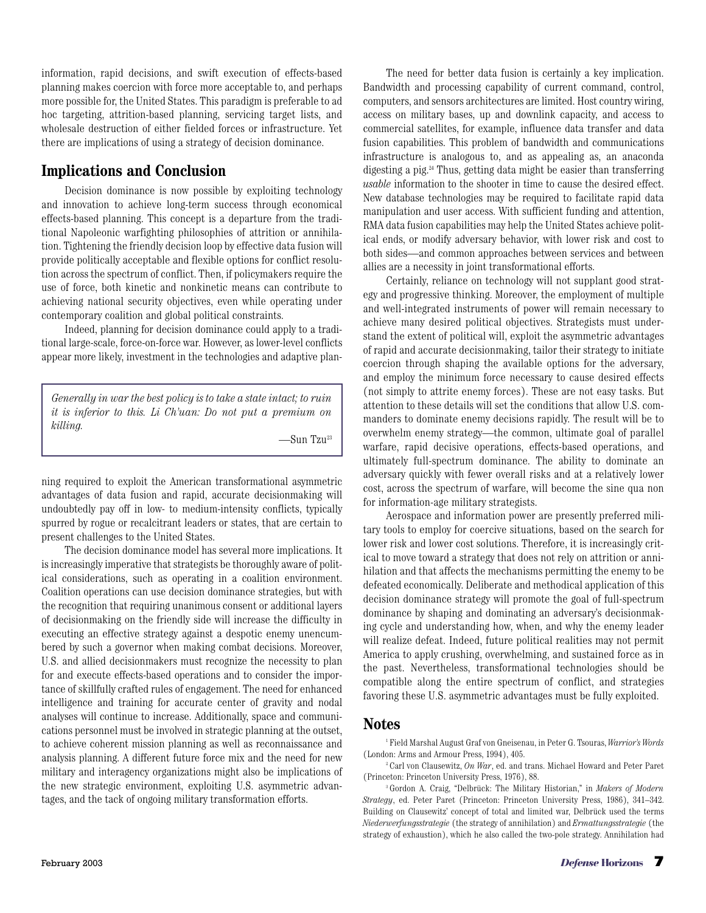information, rapid decisions, and swift execution of effects-based planning makes coercion with force more acceptable to, and perhaps more possible for, the United States. This paradigm is preferable to ad hoc targeting, attrition-based planning, servicing target lists, and wholesale destruction of either fielded forces or infrastructure. Yet there are implications of using a strategy of decision dominance.

## **Implications and Conclusion**

Decision dominance is now possible by exploiting technology and innovation to achieve long-term success through economical effects-based planning. This concept is a departure from the traditional Napoleonic warfighting philosophies of attrition or annihilation. Tightening the friendly decision loop by effective data fusion will provide politically acceptable and flexible options for conflict resolution across the spectrum of conflict. Then, if policymakers require the use of force, both kinetic and nonkinetic means can contribute to achieving national security objectives, even while operating under contemporary coalition and global political constraints.

Indeed, planning for decision dominance could apply to a traditional large-scale, force-on-force war. However, as lower-level conflicts appear more likely, investment in the technologies and adaptive plan-

*Generally in war the best policy is to take a state intact; to ruin it is inferior to this. Li Ch'uan: Do not put a premium on killing.*

—Sun Tzu23

ning required to exploit the American transformational asymmetric advantages of data fusion and rapid, accurate decisionmaking will undoubtedly pay off in low- to medium-intensity conflicts, typically spurred by rogue or recalcitrant leaders or states, that are certain to present challenges to the United States.

The decision dominance model has several more implications. It is increasingly imperative that strategists be thoroughly aware of political considerations, such as operating in a coalition environment. Coalition operations can use decision dominance strategies, but with the recognition that requiring unanimous consent or additional layers of decisionmaking on the friendly side will increase the difficulty in executing an effective strategy against a despotic enemy unencumbered by such a governor when making combat decisions. Moreover, U.S. and allied decisionmakers must recognize the necessity to plan for and execute effects-based operations and to consider the importance of skillfully crafted rules of engagement. The need for enhanced intelligence and training for accurate center of gravity and nodal analyses will continue to increase. Additionally, space and communications personnel must be involved in strategic planning at the outset, to achieve coherent mission planning as well as reconnaissance and analysis planning. A different future force mix and the need for new military and interagency organizations might also be implications of the new strategic environment, exploiting U.S. asymmetric advantages, and the tack of ongoing military transformation efforts.

The need for better data fusion is certainly a key implication. Bandwidth and processing capability of current command, control, computers, and sensors architectures are limited. Host country wiring, access on military bases, up and downlink capacity, and access to commercial satellites, for example, influence data transfer and data fusion capabilities. This problem of bandwidth and communications infrastructure is analogous to, and as appealing as, an anaconda digesting a pig.24 Thus, getting data might be easier than transferring *usable* information to the shooter in time to cause the desired effect. New database technologies may be required to facilitate rapid data manipulation and user access. With sufficient funding and attention, RMA data fusion capabilities may help the United States achieve political ends, or modify adversary behavior, with lower risk and cost to both sides—and common approaches between services and between allies are a necessity in joint transformational efforts.

Certainly, reliance on technology will not supplant good strategy and progressive thinking. Moreover, the employment of multiple and well-integrated instruments of power will remain necessary to achieve many desired political objectives. Strategists must understand the extent of political will, exploit the asymmetric advantages of rapid and accurate decisionmaking, tailor their strategy to initiate coercion through shaping the available options for the adversary, and employ the minimum force necessary to cause desired effects (not simply to attrite enemy forces). These are not easy tasks. But attention to these details will set the conditions that allow U.S. commanders to dominate enemy decisions rapidly. The result will be to overwhelm enemy strategy—the common, ultimate goal of parallel warfare, rapid decisive operations, effects-based operations, and ultimately full-spectrum dominance. The ability to dominate an adversary quickly with fewer overall risks and at a relatively lower cost, across the spectrum of warfare, will become the sine qua non for information-age military strategists.

Aerospace and information power are presently preferred military tools to employ for coercive situations, based on the search for lower risk and lower cost solutions. Therefore, it is increasingly critical to move toward a strategy that does not rely on attrition or annihilation and that affects the mechanisms permitting the enemy to be defeated economically. Deliberate and methodical application of this decision dominance strategy will promote the goal of full-spectrum dominance by shaping and dominating an adversary's decisionmaking cycle and understanding how, when, and why the enemy leader will realize defeat. Indeed, future political realities may not permit America to apply crushing, overwhelming, and sustained force as in the past. Nevertheless, transformational technologies should be compatible along the entire spectrum of conflict, and strategies favoring these U.S. asymmetric advantages must be fully exploited.

## **Notes**

<sup>1</sup> Field Marshal August Graf von Gneisenau, in Peter G. Tsouras, *Warrior's Words* (London: Arms and Armour Press, 1994), 405.

<sup>2</sup> Carl von Clausewitz, *On War*, ed. and trans. Michael Howard and Peter Paret (Princeton: Princeton University Press, 1976), 88.

<sup>3</sup> Gordon A. Craig, "Delbrück: The Military Historian," in *Makers of Modern Strategy*, ed. Peter Paret (Princeton: Princeton University Press, 1986), 341–342. Building on Clausewitz' concept of total and limited war, Delbrück used the terms *Niederwerfungsstrategie* (the strategy of annihilation) and *Ermattungsstrategie* (the strategy of exhaustion), which he also called the two-pole strategy. Annihilation had